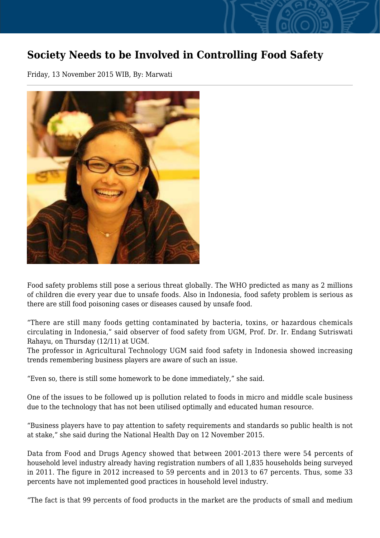## **Society Needs to be Involved in Controlling Food Safety**

Friday, 13 November 2015 WIB, By: Marwati



Food safety problems still pose a serious threat globally. The WHO predicted as many as 2 millions of children die every year due to unsafe foods. Also in Indonesia, food safety problem is serious as there are still food poisoning cases or diseases caused by unsafe food.

"There are still many foods getting contaminated by bacteria, toxins, or hazardous chemicals circulating in Indonesia," said observer of food safety from UGM, Prof. Dr. Ir. Endang Sutriswati Rahayu, on Thursday (12/11) at UGM.

The professor in Agricultural Technology UGM said food safety in Indonesia showed increasing trends remembering business players are aware of such an issue.

"Even so, there is still some homework to be done immediately," she said.

One of the issues to be followed up is pollution related to foods in micro and middle scale business due to the technology that has not been utilised optimally and educated human resource.

"Business players have to pay attention to safety requirements and standards so public health is not at stake," she said during the National Health Day on 12 November 2015.

Data from Food and Drugs Agency showed that between 2001-2013 there were 54 percents of household level industry already having registration numbers of all 1,835 households being surveyed in 2011. The figure in 2012 increased to 59 percents and in 2013 to 67 percents. Thus, some 33 percents have not implemented good practices in household level industry.

"The fact is that 99 percents of food products in the market are the products of small and medium